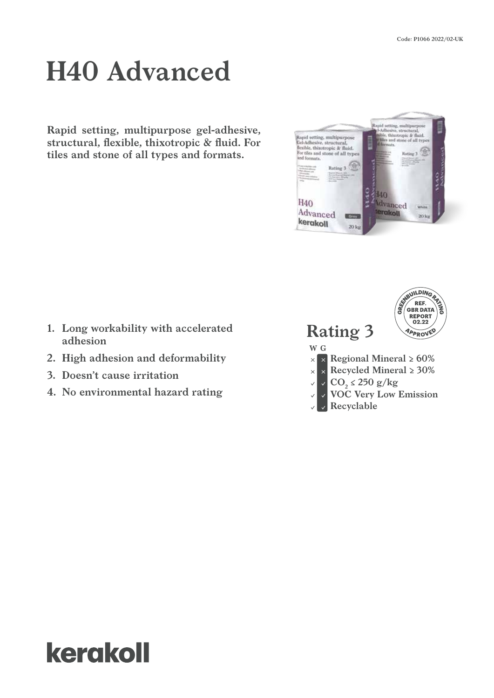# **H40 Advanced**

**Rapid setting, multipurpose gel-adhesive, structural, flexible, thixotropic & fluid. For tiles and stone of all types and formats.**



- **1. Long workability with accelerated adhesion**
- **2. High adhesion and deformability**
- **3. Doesn't cause irritation**
- **4. No environmental hazard rating**



# kerakoll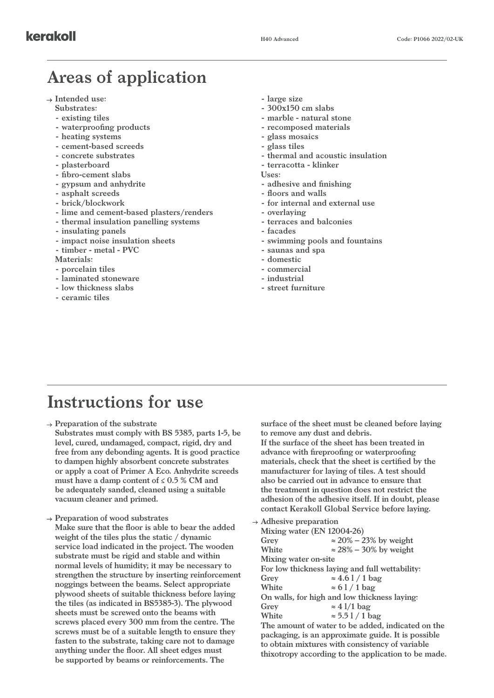### **Areas of application**

- **Intended use:**
	- **Substrates:**
	- **- existing tiles**
	- **- waterproofing products**
	- **- heating systems**
	- **- cement-based screeds**
	- **- concrete substrates**
	- **- plasterboard**
	- **- fibro-cement slabs**
	- **- gypsum and anhydrite**
	- **- asphalt screeds**
	- **- brick/blockwork**
	- **- lime and cement-based plasters/renders**
	- **- thermal insulation panelling systems**
	- **- insulating panels**
	- **- impact noise insulation sheets**
	- **- timber metal PVC**
	- **Materials:**
	- **- porcelain tiles**
	- **- laminated stoneware**
	- **- low thickness slabs**
	- **- ceramic tiles**
- **- large size**
- **- 300x150 cm slabs**
- **- marble natural stone**
- **- recomposed materials**
- **- glass mosaics**
- **- glass tiles**
- **- thermal and acoustic insulation**
- **- terracotta klinker**
- **Uses:**
- **- adhesive and finishing**
- **- floors and walls**
- **- for internal and external use**
- **- overlaying**
- **- terraces and balconies**
- **- facades**
- **- swimming pools and fountains**
- **- saunas and spa**
- **- domestic**
- **- commercial**
- **- industrial**
- **- street furniture**

## **Instructions for use**

**Preparation of the substrate Substrates must comply with BS 5385, parts 1-5, be level, cured, undamaged, compact, rigid, dry and free from any debonding agents. It is good practice to dampen highly absorbent concrete substrates or apply a coat of Primer A Eco. Anhydrite screeds must have a damp content of ≤ 0.5 % CM and be adequately sanded, cleaned using a suitable vacuum cleaner and primed.**

**Preparation of wood substrates**

**Make sure that the floor is able to bear the added weight of the tiles plus the static / dynamic service load indicated in the project. The wooden substrate must be rigid and stable and within normal levels of humidity; it may be necessary to strengthen the structure by inserting reinforcement noggings between the beams. Select appropriate plywood sheets of suitable thickness before laying the tiles (as indicated in BS5385-3). The plywood sheets must be screwed onto the beams with screws placed every 300 mm from the centre. The screws must be of a suitable length to ensure they fasten to the substrate, taking care not to damage anything under the floor. All sheet edges must be supported by beams or reinforcements. The** 

**surface of the sheet must be cleaned before laying to remove any dust and debris. If the surface of the sheet has been treated in advance with fireproofing or waterproofing materials, check that the sheet is certified by the manufacturer for laying of tiles. A test should also be carried out in advance to ensure that the treatment in question does not restrict the adhesion of the adhesive itself. If in doubt, please contact Kerakoll Global Service before laying.**

| $\rightarrow$ Adhesive preparation                 |                                                     |  |  |
|----------------------------------------------------|-----------------------------------------------------|--|--|
| Mixing water (EN 12004-26)                         |                                                     |  |  |
| Grey                                               | $\approx$ 20% – 23% by weight                       |  |  |
| White                                              | $\approx$ 28% – 30% by weight                       |  |  |
| Mixing water on-site                               |                                                     |  |  |
| For low thickness laying and full wettability:     |                                                     |  |  |
| Grey                                               | $\approx 4.61/1$ bag                                |  |  |
| White                                              | $\approx 61/1$ bag                                  |  |  |
| On walls, for high and low thickness laying:       |                                                     |  |  |
| Grey                                               | $\approx 4$ l/1 bag                                 |  |  |
| White                                              | $\approx 5.51/1$ bag                                |  |  |
| The amount of water to be added, indicated on the  |                                                     |  |  |
| packaging, is an approximate guide. It is possible |                                                     |  |  |
|                                                    | to obtain mixtures with consistency of variable     |  |  |
|                                                    | thixotropy according to the application to be made. |  |  |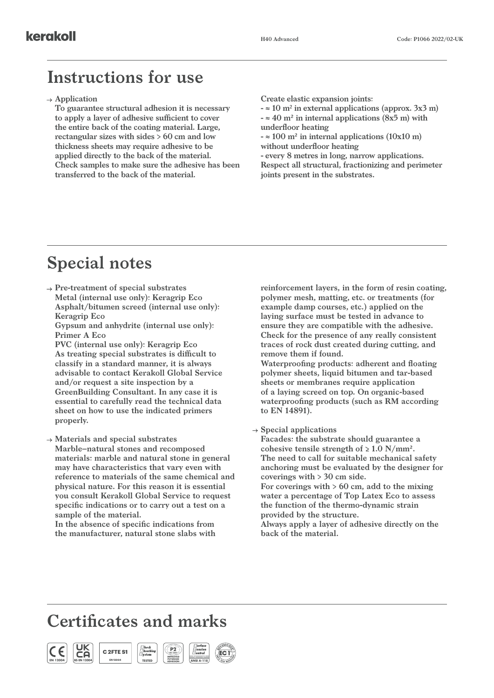#### **Instructions for use**

**Application**

**To guarantee structural adhesion it is necessary to apply a layer of adhesive sufficient to cover the entire back of the coating material. Large, rectangular sizes with sides > 60 cm and low thickness sheets may require adhesive to be applied directly to the back of the material. Check samples to make sure the adhesive has been transferred to the back of the material.**

**Create elastic expansion joints:**

**- ≈ 10 m2 in external applications (approx. 3x3 m) - ≈ 40 m² in internal applications (8x5 m) with underfloor heating**

**- ≈ 100 m² in internal applications (10x10 m) without underfloor heating**

**- every 8 metres in long, narrow applications. Respect all structural, fractionizing and perimeter joints present in the substrates.**

#### **Special notes**

**Pre-treatment of special substrates Metal (internal use only): Keragrip Eco Asphalt/bitumen screed (internal use only): Keragrip Eco**

**Gypsum and anhydrite (internal use only): Primer A Eco**

**PVC (internal use only): Keragrip Eco As treating special substrates is difficult to classify in a standard manner, it is always advisable to contact Kerakoll Global Service and/or request a site inspection by a GreenBuilding Consultant. In any case it is essential to carefully read the technical data sheet on how to use the indicated primers properly.**

**Materials and special substrates**

**Marble–natural stones and recomposed materials: marble and natural stone in general may have characteristics that vary even with reference to materials of the same chemical and physical nature. For this reason it is essential you consult Kerakoll Global Service to request specific indications or to carry out a test on a sample of the material.** 

**In the absence of specific indications from the manufacturer, natural stone slabs with**  **reinforcement layers, in the form of resin coating, polymer mesh, matting, etc. or treatments (for example damp courses, etc.) applied on the laying surface must be tested in advance to ensure they are compatible with the adhesive. Check for the presence of any really consistent traces of rock dust created during cutting, and remove them if found.**

**Waterproofing products: adherent and floating polymer sheets, liquid bitumen and tar-based sheets or membranes require application of a laying screed on top. On organic-based waterproofing products (such as RM according to EN 14891).**

**Special applications**

**Facades: the substrate should guarantee a**  cohesive tensile strength of  $\geq 1.0$  N/mm<sup>2</sup>. **The need to call for suitable mechanical safety anchoring must be evaluated by the designer for coverings with > 30 cm side.**

**For coverings with > 60 cm, add to the mixing water a percentage of Top Latex Eco to assess the function of the thermo-dynamic strain provided by the structure.**

**Always apply a layer of adhesive directly on the back of the material.**

### **Certificates and marks**

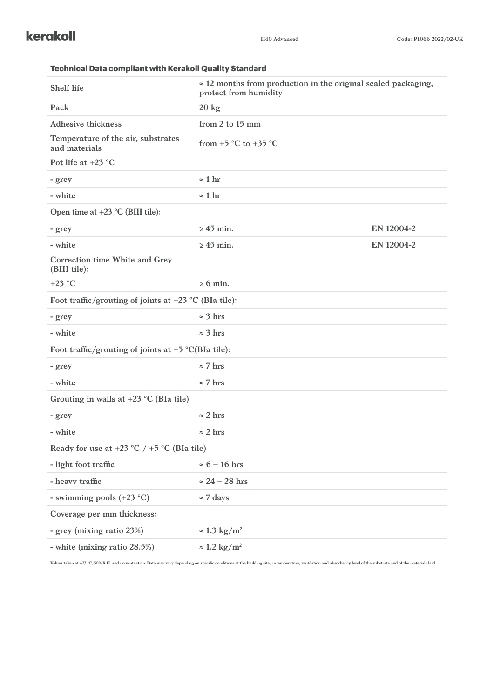| <b>Technical Data compliant with Kerakoll Quality Standard</b> |                                                                                                |            |  |  |  |
|----------------------------------------------------------------|------------------------------------------------------------------------------------------------|------------|--|--|--|
| <b>Shelf life</b>                                              | $\approx$ 12 months from production in the original sealed packaging,<br>protect from humidity |            |  |  |  |
| Pack                                                           | $20 \text{ kg}$                                                                                |            |  |  |  |
| <b>Adhesive thickness</b>                                      | from 2 to 15 mm                                                                                |            |  |  |  |
| Temperature of the air, substrates<br>and materials            | from $+5$ °C to $+35$ °C                                                                       |            |  |  |  |
| Pot life at $+23$ °C                                           |                                                                                                |            |  |  |  |
| - grey                                                         | $\approx$ 1 hr                                                                                 |            |  |  |  |
| - white                                                        | $\approx 1$ hr                                                                                 |            |  |  |  |
| Open time at $+23$ °C (BIII tile):                             |                                                                                                |            |  |  |  |
| - grey                                                         | $\geq 45$ min.                                                                                 | EN 12004-2 |  |  |  |
| - white                                                        | $\geq 45$ min.                                                                                 | EN 12004-2 |  |  |  |
| Correction time White and Grey<br>(BIII tile):                 |                                                                                                |            |  |  |  |
| $+23$ °C                                                       | $\geq 6$ min.                                                                                  |            |  |  |  |
| Foot traffic/grouting of joints at $+23$ °C (BIa tile):        |                                                                                                |            |  |  |  |
| - grey                                                         | $\approx$ 3 hrs                                                                                |            |  |  |  |
| - white                                                        | $\approx$ 3 hrs                                                                                |            |  |  |  |
| Foot traffic/grouting of joints at $+5$ °C(BIa tile):          |                                                                                                |            |  |  |  |
| - grey                                                         | $\approx$ 7 hrs                                                                                |            |  |  |  |
| - white                                                        | $\approx$ 7 hrs                                                                                |            |  |  |  |
| Grouting in walls at $+23$ °C (BIa tile)                       |                                                                                                |            |  |  |  |
| - grey                                                         | $\approx$ 2 hrs                                                                                |            |  |  |  |
| - white                                                        | $\approx$ 2 hrs                                                                                |            |  |  |  |
| Ready for use at $+23$ °C $/ +5$ °C (BIa tile)                 |                                                                                                |            |  |  |  |
| - light foot traffic                                           | $\approx 6 - 16$ hrs                                                                           |            |  |  |  |
| - heavy traffic                                                | $\approx 24 - 28$ hrs                                                                          |            |  |  |  |
| - swimming pools (+23 °C)                                      | $\approx$ 7 days                                                                               |            |  |  |  |
| Coverage per mm thickness:                                     |                                                                                                |            |  |  |  |
| - grey (mixing ratio 23%)                                      | $\approx 1.3 \text{ kg/m}^2$                                                                   |            |  |  |  |
| - white (mixing ratio 28.5%)                                   | $\approx$ 1.2 kg/m <sup>2</sup>                                                                |            |  |  |  |

Values taken at +23 °C, 50% R.H. and no ventilation. Data may vary depending on specific conditions at the building site, i.e.temperature, ventilation and absorbency level of the substrate and of the materials laid.